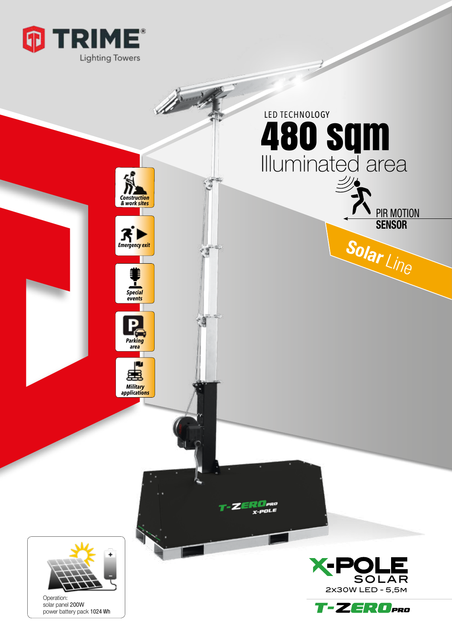



Operation: solar panel 200W power battery pack 1024 Wh



2x30W LED - 5,5m